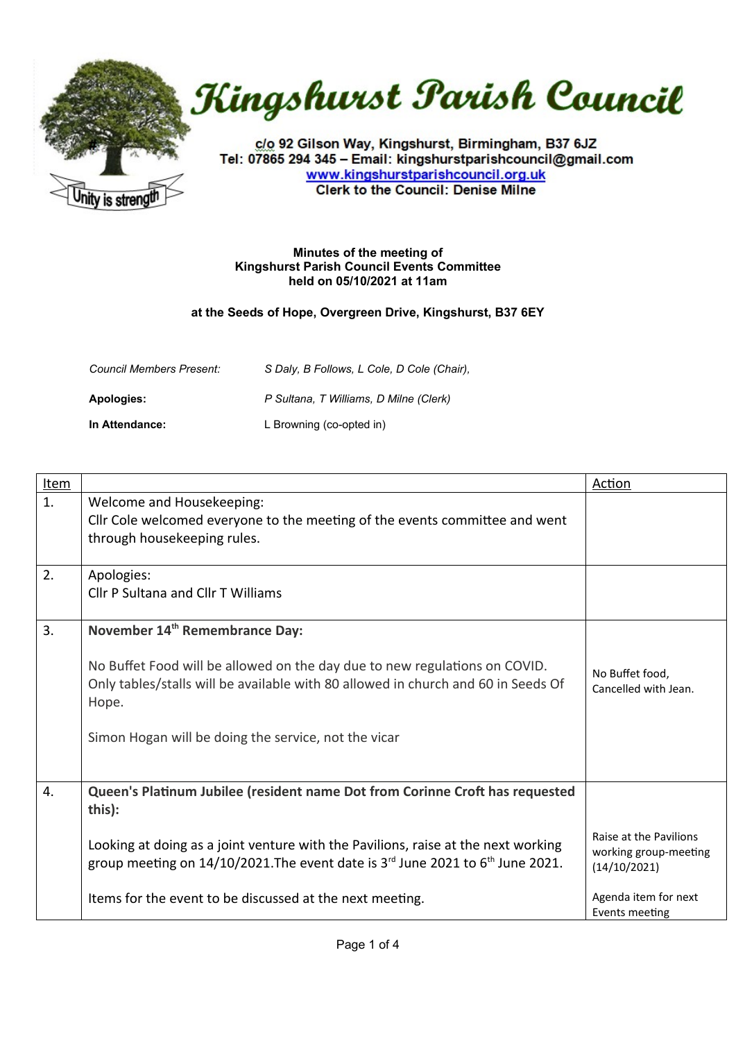



c/o 92 Gilson Way, Kingshurst, Birmingham, B37 6JZ Tel: 07865 294 345 - Email: kingshurstparishcouncil@gmail.com www.kingshurstparishcouncil.org.uk **Clerk to the Council: Denise Milne** 

## **Minutes of the meeting of Kingshurst Parish Council Events Committee held on 05/10/2021 at 11am**

## **at the Seeds of Hope, Overgreen Drive, Kingshurst, B37 6EY**

| <b>Council Members Present:</b> | S Daly, B Follows, L Cole, D Cole (Chair), |
|---------------------------------|--------------------------------------------|
| Apologies:                      | P Sultana, T Williams, D Milne (Clerk)     |
| In Attendance:                  | L Browning (co-opted in)                   |

| <u>Item</u> |                                                                                       | <b>Action</b>          |
|-------------|---------------------------------------------------------------------------------------|------------------------|
| 1.          | Welcome and Housekeeping:                                                             |                        |
|             | Cllr Cole welcomed everyone to the meeting of the events committee and went           |                        |
|             | through housekeeping rules.                                                           |                        |
|             |                                                                                       |                        |
| 2.          | Apologies:                                                                            |                        |
|             | Cllr P Sultana and Cllr T Williams                                                    |                        |
|             |                                                                                       |                        |
| 3.          | November 14 <sup>th</sup> Remembrance Day:                                            |                        |
|             |                                                                                       |                        |
|             | No Buffet Food will be allowed on the day due to new regulations on COVID.            | No Buffet food,        |
|             | Only tables/stalls will be available with 80 allowed in church and 60 in Seeds Of     | Cancelled with Jean.   |
|             | Hope.                                                                                 |                        |
|             |                                                                                       |                        |
|             | Simon Hogan will be doing the service, not the vicar                                  |                        |
|             |                                                                                       |                        |
|             |                                                                                       |                        |
| 4.          | Queen's Platinum Jubilee (resident name Dot from Corinne Croft has requested          |                        |
|             | this):                                                                                |                        |
|             |                                                                                       | Raise at the Pavilions |
|             | Looking at doing as a joint venture with the Pavilions, raise at the next working     | working group-meeting  |
|             | group meeting on $14/10/2021$ . The event date is $3rd$ June 2021 to $6th$ June 2021. | (14/10/2021)           |
|             |                                                                                       |                        |
|             | Items for the event to be discussed at the next meeting.                              | Agenda item for next   |
|             |                                                                                       | Events meeting         |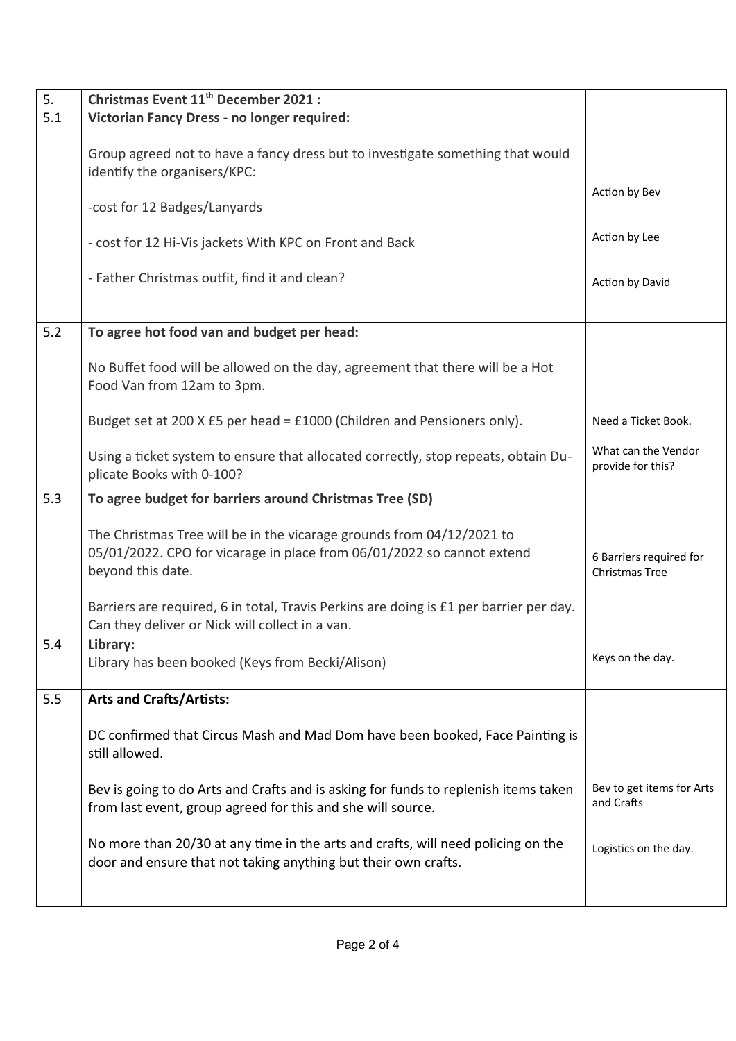| 5.  | Christmas Event 11 <sup>th</sup> December 2021:                                                                                                                      |                                                  |
|-----|----------------------------------------------------------------------------------------------------------------------------------------------------------------------|--------------------------------------------------|
| 5.1 | Victorian Fancy Dress - no longer required:                                                                                                                          |                                                  |
|     | Group agreed not to have a fancy dress but to investigate something that would<br>identify the organisers/KPC:                                                       |                                                  |
|     | -cost for 12 Badges/Lanyards                                                                                                                                         | Action by Bev                                    |
|     | - cost for 12 Hi-Vis jackets With KPC on Front and Back                                                                                                              | Action by Lee                                    |
|     | - Father Christmas outfit, find it and clean?                                                                                                                        | Action by David                                  |
| 5.2 | To agree hot food van and budget per head:                                                                                                                           |                                                  |
|     | No Buffet food will be allowed on the day, agreement that there will be a Hot<br>Food Van from 12am to 3pm.                                                          |                                                  |
|     | Budget set at 200 X £5 per head = £1000 (Children and Pensioners only).                                                                                              | Need a Ticket Book.                              |
|     | Using a ticket system to ensure that allocated correctly, stop repeats, obtain Du-<br>plicate Books with 0-100?                                                      | What can the Vendor<br>provide for this?         |
| 5.3 | To agree budget for barriers around Christmas Tree (SD)                                                                                                              |                                                  |
|     | The Christmas Tree will be in the vicarage grounds from 04/12/2021 to<br>05/01/2022. CPO for vicarage in place from 06/01/2022 so cannot extend<br>beyond this date. | 6 Barriers required for<br><b>Christmas Tree</b> |
|     | Barriers are required, 6 in total, Travis Perkins are doing is £1 per barrier per day.<br>Can they deliver or Nick will collect in a van.                            |                                                  |
| 5.4 | Library:<br>Library has been booked (Keys from Becki/Alison)                                                                                                         | Keys on the day.                                 |
| 5.5 | <b>Arts and Crafts/Artists:</b>                                                                                                                                      |                                                  |
|     | DC confirmed that Circus Mash and Mad Dom have been booked, Face Painting is<br>still allowed.                                                                       |                                                  |
|     | Bev is going to do Arts and Crafts and is asking for funds to replenish items taken<br>from last event, group agreed for this and she will source.                   | Bev to get items for Arts<br>and Crafts          |
|     | No more than 20/30 at any time in the arts and crafts, will need policing on the<br>door and ensure that not taking anything but their own crafts.                   | Logistics on the day.                            |
|     |                                                                                                                                                                      |                                                  |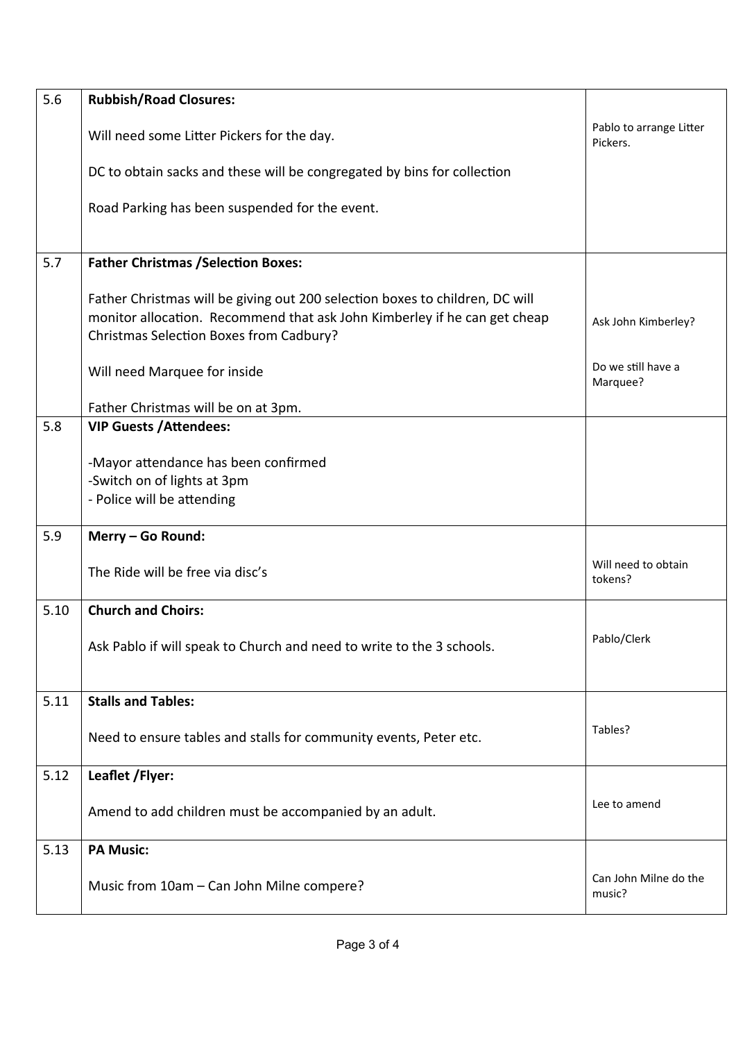| 5.6  | <b>Rubbish/Road Closures:</b>                                                                                                                                                                        |                                     |
|------|------------------------------------------------------------------------------------------------------------------------------------------------------------------------------------------------------|-------------------------------------|
|      | Will need some Litter Pickers for the day.                                                                                                                                                           | Pablo to arrange Litter<br>Pickers. |
|      | DC to obtain sacks and these will be congregated by bins for collection                                                                                                                              |                                     |
|      | Road Parking has been suspended for the event.                                                                                                                                                       |                                     |
| 5.7  | <b>Father Christmas / Selection Boxes:</b>                                                                                                                                                           |                                     |
|      | Father Christmas will be giving out 200 selection boxes to children, DC will<br>monitor allocation. Recommend that ask John Kimberley if he can get cheap<br>Christmas Selection Boxes from Cadbury? | Ask John Kimberley?                 |
|      | Will need Marquee for inside                                                                                                                                                                         | Do we still have a<br>Marquee?      |
|      | Father Christmas will be on at 3pm.                                                                                                                                                                  |                                     |
| 5.8  | <b>VIP Guests / Attendees:</b>                                                                                                                                                                       |                                     |
|      | -Mayor attendance has been confirmed<br>-Switch on of lights at 3pm<br>- Police will be attending                                                                                                    |                                     |
| 5.9  | Merry - Go Round:                                                                                                                                                                                    |                                     |
|      | The Ride will be free via disc's                                                                                                                                                                     | Will need to obtain<br>tokens?      |
| 5.10 | <b>Church and Choirs:</b>                                                                                                                                                                            |                                     |
|      | Ask Pablo if will speak to Church and need to write to the 3 schools.                                                                                                                                | Pablo/Clerk                         |
| 5.11 | <b>Stalls and Tables:</b>                                                                                                                                                                            |                                     |
|      | Need to ensure tables and stalls for community events, Peter etc.                                                                                                                                    | Tables?                             |
| 5.12 | Leaflet / Flyer:                                                                                                                                                                                     |                                     |
|      | Amend to add children must be accompanied by an adult.                                                                                                                                               | Lee to amend                        |
| 5.13 | <b>PA Music:</b>                                                                                                                                                                                     |                                     |
|      | Music from 10am - Can John Milne compere?                                                                                                                                                            | Can John Milne do the<br>music?     |